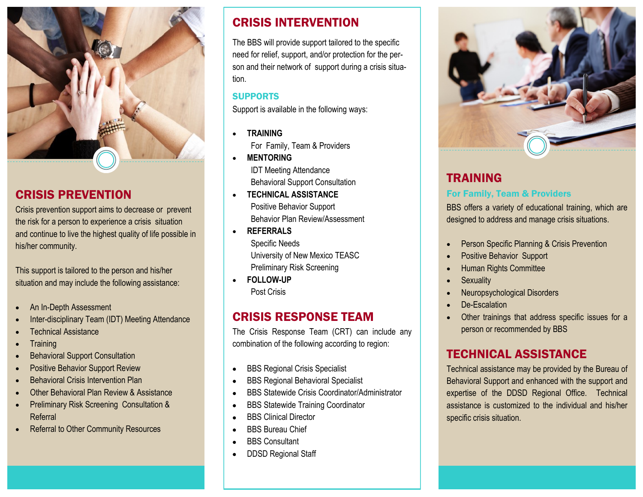

## CRISIS PREVENTION

Crisis prevention support aims to decrease or prevent the risk for a person to experience a crisis situation and continue to live the highest quality of life possible in his/her community.

This support is tailored to the person and his/her situation and may include the following assistance:

- An In-Depth Assessment
- Inter-disciplinary Team (IDT) Meeting Attendance
- Technical Assistance
- **Training**
- Behavioral Support Consultation
- Positive Behavior Support Review
- Behavioral Crisis Intervention Plan
- Other Behavioral Plan Review & Assistance
- Preliminary Risk Screening Consultation & Referral
- **Referral to Other Community Resources**

# CRISIS INTERVENTION

The BBS will provide support tailored to the specific need for relief, support, and/or protection for the person and their network of support during a crisis situation.

#### **SUPPORTS**

Support is available in the following ways:

- **TRAINING** For Family, Team & Providers
- **MENTORING** IDT Meeting Attendance Behavioral Support Consultation
- **TECHNICAL ASSISTANCE** Positive Behavior Support Behavior Plan Review/Assessment
- **REFERRALS** Specific Needs University of New Mexico TEASC Preliminary Risk Screening
- **FOLLOW-UP** Post Crisis

# CRISIS RESPONSE TEAM

The Crisis Response Team (CRT) can include any combination of the following according to region:

- BBS Regional Crisis Specialist
- BBS Regional Behavioral Specialist
- BBS Statewide Crisis Coordinator/Administrator
- BBS Statewide Training Coordinator
- BBS Clinical Director
- BBS Bureau Chief
- BBS Consultant
- DDSD Regional Staff



## TRAINING For Family, Team & Providers

BBS offers a variety of educational training, which are designed to address and manage crisis situations.

- Person Specific Planning & Crisis Prevention
- Positive Behavior Support
- Human Rights Committee
- **Sexuality**
- Neuropsychological Disorders
- De-Escalation
- Other trainings that address specific issues for a person or recommended by BBS

## TECHNICAL ASSISTANCE

Technical assistance may be provided by the Bureau of Behavioral Support and enhanced with the support and expertise of the DDSD Regional Office. Technical assistance is customized to the individual and his/her specific crisis situation.